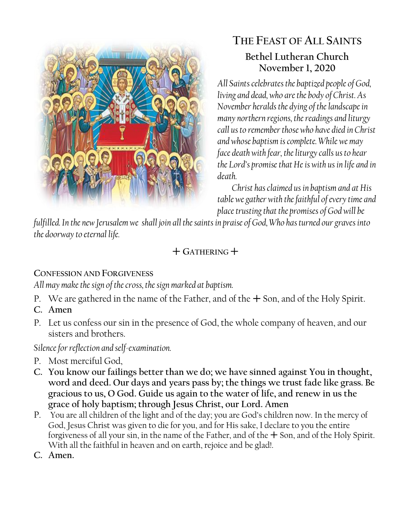

## **THE FEAST OF ALL SAINTS Bethel Lutheran Church November 1, 2020**

*All Saints celebrates the baptized people of God, living and dead, who are the body of Christ. As November heralds the dying of the landscape in many northern regions, the readings and liturgy call us to remember those who have died in Christ and whose baptism is complete. While we may face death with fear, the liturgy calls us to hear the Lord's promise that He is with us in life and in death.*

*Christ has claimed us in baptism and at His table we gather with the faithful of every time and place trusting that the promises of God will be* 

*fulfilled. In the new Jerusalem we shall join all the saints in praise of God, Who has turned our graves into the doorway to eternal life.*

## $+$  Gathering  $+$

## **CONFESSION AND FORGIVENESS**

*All may make the sign of the cross, the sign marked at baptism.*

- P. We are gathered in the name of the Father, and of the  $+$  Son, and of the Holy Spirit.
- **C. Amen**
- P. Let us confess our sin in the presence of God, the whole company of heaven, and our sisters and brothers.

*Silence for reflection and self-examination.*

- P. Most merciful God,
- **C. You know our failings better than we do; we have sinned against You in thought, word and deed. Our days and years pass by; the things we trust fade like grass. Be gracious to us, O God. Guide us again to the water of life, and renew in us the grace of holy baptism; through Jesus Christ, our Lord. Amen**
- P. You are all children of the light and of the day; you are God's children now. In the mercy of God, Jesus Christ was given to die for you, and for His sake, I declare to you the entire forgiveness of all your sin, in the name of the Father, and of the  $+$  Son, and of the Holy Spirit. With all the faithful in heaven and on earth, rejoice and be glad!.
- **C. Amen.**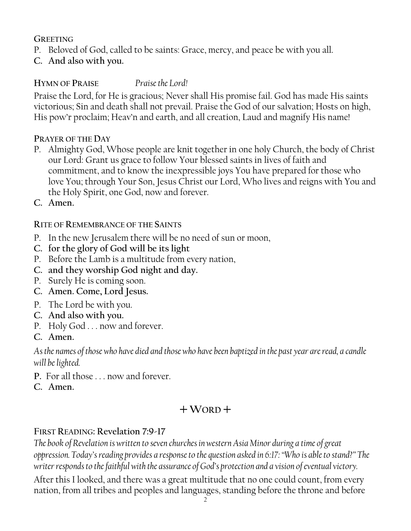#### **GREETING**

- P. Beloved of God, called to be saints: Grace, mercy, and peace be with you all.
- **C. And also with you.**

### **HYMN OF PRAISE** *Praise the Lord!*

Praise the Lord, for He is gracious; Never shall His promise fail. God has made His saints victorious; Sin and death shall not prevail. Praise the God of our salvation; Hosts on high, His pow'r proclaim; Heav'n and earth, and all creation, Laud and magnify His name!

#### **PRAYER OF THE DAY**

- P. Almighty God, Whose people are knit together in one holy Church, the body of Christ our Lord: Grant us grace to follow Your blessed saints in lives of faith and commitment, and to know the inexpressible joys You have prepared for those who love You; through Your Son, Jesus Christ our Lord, Who lives and reigns with You and the Holy Spirit, one God, now and forever.
- **C. Amen.**

#### **RITE OF REMEMBRANCE OF THE SAINTS**

- P. In the new Jerusalem there will be no need of sun or moon,
- **C. for the glory of God will be its light**
- P. Before the Lamb is a multitude from every nation,
- **C. and they worship God night and day.**
- P. Surely He is coming soon.
- **C. Amen. Come, Lord Jesus.**
- P. The Lord be with you.
- **C. And also with you.**
- P. Holy God . . . now and forever.
- **C. Amen.**

*As the names of those who have died and those who have been baptized in the past year are read, a candle will be lighted.* 

- **P.** For all those . . . now and forever.
- **C. Amen.**

# $+$ WORD<sup> $+$ </sup>

### **FIRST READING: Revelation 7:9-17**

*The book of Revelation is written to seven churches in western Asia Minor during a time of great oppression. Today's reading provides a response to the question asked in 6:17: "Who is able to stand?" The writer responds to the faithful with the assurance of God's protection and a vision of eventual victory.*

After this I looked, and there was a great multitude that no one could count, from every nation, from all tribes and peoples and languages, standing before the throne and before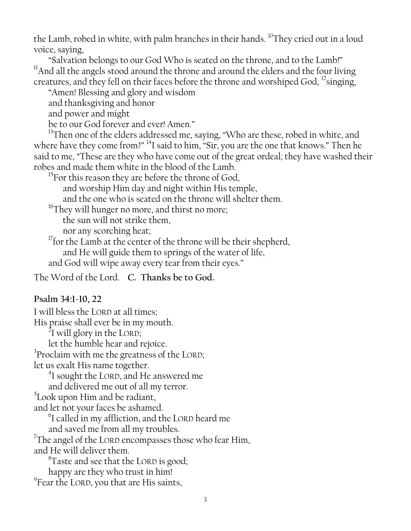the Lamb, robed in white, with palm branches in their hands. <sup>10</sup>They cried out in a loud voice, saying,

"Salvation belongs to our God Who is seated on the throne, and to the Lamb!"  $11$ And all the angels stood around the throne and around the elders and the four living creatures, and they fell on their faces before the throne and worshiped God,  $\frac{1}{2}$ singing,

"Amen! Blessing and glory and wisdom

and thanksgiving and honor

and power and might

be to our God forever and ever! Amen."

<sup>13</sup>Then one of the elders addressed me, saying, "Who are these, robed in white, and where have they come from?" <sup>14</sup>I said to him, "Sir, you are the one that knows." Then he said to me, "These are they who have come out of the great ordeal; they have washed their robes and made them white in the blood of the Lamb.

 $^{15}$ For this reason they are before the throne of God,

and worship Him day and night within His temple,

and the one who is seated on the throne will shelter them.

<sup>16</sup>They will hunger no more, and thirst no more;

the sun will not strike them,

nor any scorching heat;

<sup>17</sup> for the Lamb at the center of the throne will be their shepherd,

and He will guide them to springs of the water of life,

and God will wipe away every tear from their eyes."

The Word of the Lord. **C. Thanks be to God.**

#### **Psalm 34:1-10, 22**

I will bless the LORD at all times; His praise shall ever be in my mouth.  $^{2}$ I will glory in the LORD; let the humble hear and rejoice. <sup>3</sup>Proclaim with me the greatness of the LORD; let us exalt His name together. <sup>4</sup>I sought the LORD, and He answered me and delivered me out of all my terror.  $5$ Look upon Him and be radiant, and let not your faces be ashamed.  $^6$ I called in my affliction, and the LORD heard me and saved me from all my troubles.  $7$ The angel of the LORD encompasses those who fear Him, and He will deliver them.  ${}^{8}$ Taste and see that the LORD is good; happy are they who trust in him! <sup>9</sup> Fear the LORD, you that are His saints,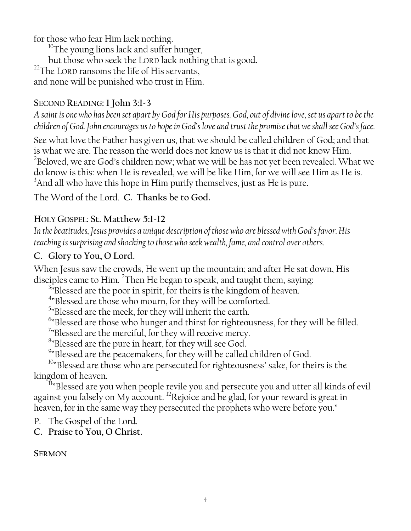for those who fear Him lack nothing.

 $^{10}$ The young lions lack and suffer hunger, but those who seek the LORD lack nothing that is good.  $22$ The LORD ransoms the life of His servants, and none will be punished who trust in Him.

### **SECOND READING: 1 John 3:1-3**

*A saint is one who has been set apart by God for His purposes. God, out of divine love, set us apart to be the children of God. John encourages us to hope in God's love and trust the promise that we shall see God's face.*

See what love the Father has given us, that we should be called children of God; and that is what we are. The reason the world does not know us is that it did not know Him.  $^{2}$ Beloved, we are God's children now; what we will be has not yet been revealed. What we do know is this: when He is revealed, we will be like Him, for we will see Him as He is. <sup>3</sup>And all who have this hope in Him purify themselves, just as He is pure.

The Word of the Lord. **C. Thanks be to God.**

### **HOLY GOSPEL**: **St. Matthew 5:1-12**

*In the beatitudes, Jesus provides a unique description of those who are blessed with God's favor. His teaching is surprising and shocking to those who seek wealth, fame, and control over others.*

### **C. Glory to You, O Lord.**

When Jesus saw the crowds, He went up the mountain; and after He sat down, His disciples came to Him. <sup>2</sup>Then He began to speak, and taught them, saying:

<sup>3</sup><sup>3</sup>Blessed are the poor in spirit, for theirs is the kingdom of heaven.

<sup>4</sup>"Blessed are those who mourn, for they will be comforted.

<sup>5</sup>"Blessed are the meek, for they will inherit the earth.

<sup>6</sup>"Blessed are those who hunger and thirst for righteousness, for they will be filled.

<sup>7</sup>"Blessed are the merciful, for they will receive mercy.

<sup>8</sup>"Blessed are the pure in heart, for they will see God.

<sup>9</sup>"Blessed are the peacemakers, for they will be called children of God.

<sup>10</sup>"Blessed are those who are persecuted for righteousness' sake, for theirs is the kingdom of heaven.

<sup>II</sup>"Blessed are you when people revile you and persecute you and utter all kinds of evil against you falsely on My account. <sup>12</sup>Rejoice and be glad, for your reward is great in heaven, for in the same way they persecuted the prophets who were before you."

P. The Gospel of the Lord.

**C. Praise to You, O Christ.**

**SERMON**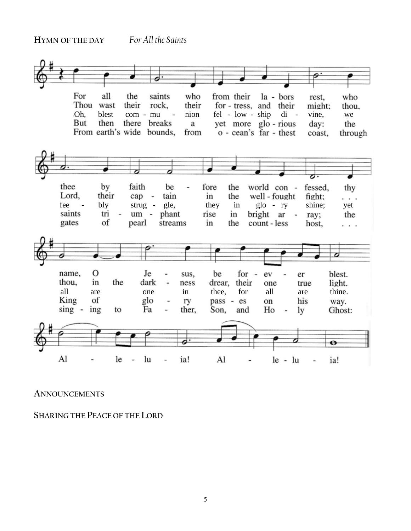**HYMN OF THE DAY** *For All the Saints*



**ANNOUNCEMENTS**

**SHARING THE PEACE OF THE LORD**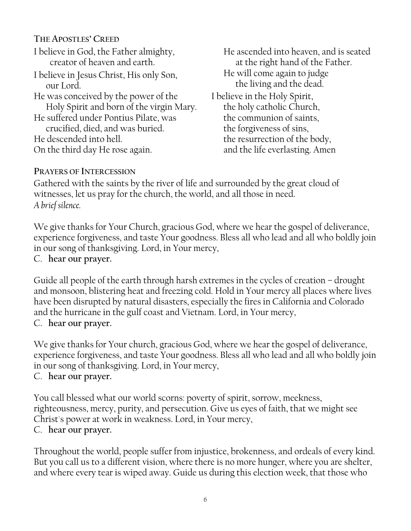**THE APOSTLES' CREED** I believe in God, the Father almighty, creator of heaven and earth. I believe in Jesus Christ, His only Son, our Lord. He was conceived by the power of the Holy Spirit and born of the virgin Mary. He suffered under Pontius Pilate, was crucified, died, and was buried. He descended into hell. On the third day He rose again.

He ascended into heaven, and is seated at the right hand of the Father. He will come again to judge the living and the dead. I believe in the Holy Spirit, the holy catholic Church, the communion of saints, the forgiveness of sins, the resurrection of the body, and the life everlasting. Amen

#### **PRAYERS OF INTERCESSION**

Gathered with the saints by the river of life and surrounded by the great cloud of witnesses, let us pray for the church, the world, and all those in need. *A brief silence.*

We give thanks for Your Church, gracious God, where we hear the gospel of deliverance, experience forgiveness, and taste Your goodness. Bless all who lead and all who boldly join in our song of thanksgiving. Lord, in Your mercy,

C. **hear our prayer.**

Guide all people of the earth through harsh extremes in the cycles of creation – drought and monsoon, blistering heat and freezing cold. Hold in Your mercy all places where lives have been disrupted by natural disasters, especially the fires in California and Colorado and the hurricane in the gulf coast and Vietnam. Lord, in Your mercy, C. **hear our prayer.**

We give thanks for Your church, gracious God, where we hear the gospel of deliverance, experience forgiveness, and taste Your goodness. Bless all who lead and all who boldly join in our song of thanksgiving. Lord, in Your mercy,

C. **hear our prayer.**

You call blessed what our world scorns: poverty of spirit, sorrow, meekness, righteousness, mercy, purity, and persecution. Give us eyes of faith, that we might see Christ's power at work in weakness. Lord, in Your mercy,

C. **hear our prayer.**

Throughout the world, people suffer from injustice, brokenness, and ordeals of every kind. But you call us to a different vision, where there is no more hunger, where you are shelter, and where every tear is wiped away. Guide us during this election week, that those who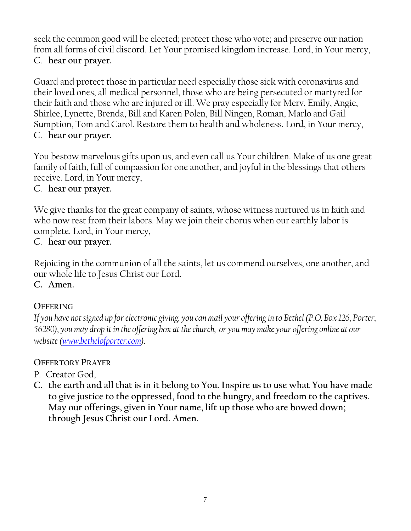seek the common good will be elected; protect those who vote; and preserve our nation from all forms of civil discord. Let Your promised kingdom increase. Lord, in Your mercy, C. **hear our prayer.**

Guard and protect those in particular need especially those sick with coronavirus and their loved ones, all medical personnel, those who are being persecuted or martyred for their faith and those who are injured or ill. We pray especially for Merv, Emily, Angie, Shirlee, Lynette, Brenda, Bill and Karen Polen, Bill Ningen, Roman, Marlo and Gail Sumption, Tom and Carol. Restore them to health and wholeness. Lord, in Your mercy, C. **hear our prayer.**

You bestow marvelous gifts upon us, and even call us Your children. Make of us one great family of faith, full of compassion for one another, and joyful in the blessings that others receive. Lord, in Your mercy,

### C. **hear our prayer.**

We give thanks for the great company of saints, whose witness nurtured us in faith and who now rest from their labors. May we join their chorus when our earthly labor is complete. Lord, in Your mercy,

C. **hear our prayer.**

Rejoicing in the communion of all the saints, let us commend ourselves, one another, and our whole life to Jesus Christ our Lord. **C. Amen.**

### **OFFERING**

*If you have not signed up for electronic giving, you can mail your offering in to Bethel (P.O. Box 126, Porter, 56280), you may drop it in the offering box at the church, or you may make your offering online at our website [\(www.bethelofporter.com\)](http://www.bethelofporter.com/).* 

### **OFFERTORY PRAYER**

- P. Creator God,
- **C. the earth and all that is in it belong to You. Inspire us to use what You have made to give justice to the oppressed, food to the hungry, and freedom to the captives. May our offerings, given in Your name, lift up those who are bowed down; through Jesus Christ our Lord. Amen.**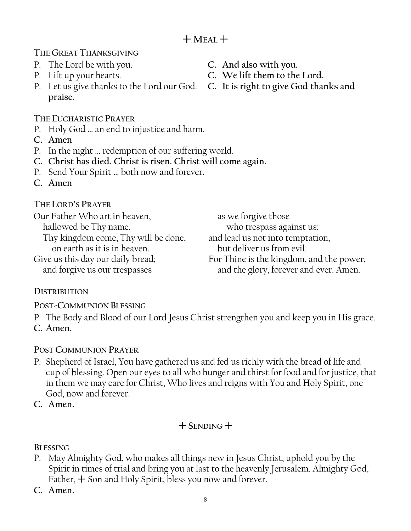**THE GREAT THANKSGIVING** 

- P. The Lord be with you. **C. And also with you.**
- 
- P. Lift up your hearts. **C. We lift them to the Lord.** P. Let us give thanks to the Lord our God. **praise.**

# **THE EUCHARISTIC PRAYER**

- P. Holy God … an end to injustice and harm.
- **C. Amen**
- P. In the night … redemption of our suffering world.
- **C. Christ has died. Christ is risen. Christ will come again.**
- P. Send Your Spirit … both now and forever.
- **C. Amen**

**THE LORD'S PRAYER**

| Our Father Who art in heaven,       | as we forgive those                      |
|-------------------------------------|------------------------------------------|
| hallowed be Thy name,               | who trespass against us;                 |
| Thy kingdom come, Thy will be done, | and lead us not into temptation,         |
| on earth as it is in heaven.        | but deliver us from evil.                |
| Give us this day our daily bread;   | For Thine is the kingdom, and the power, |
| and forgive us our trespasses       | and the glory, forever and ever. Amen.   |

## **DISTRIBUTION**

**POST-COMMUNION BLESSING**

P. The Body and Blood of our Lord Jesus Christ strengthen you and keep you in His grace. **C. Amen.**

## **POST COMMUNION PRAYER**

- P. Shepherd of Israel, You have gathered us and fed us richly with the bread of life and cup of blessing. Open our eyes to all who hunger and thirst for food and for justice, that in them we may care for Christ, Who lives and reigns with You and Holy Spirit, one God, now and forever.
- **C. Amen.**

# $+$ **SENDING** $+$

**BLESSING**

- P. May Almighty God, who makes all things new in Jesus Christ, uphold you by the Spirit in times of trial and bring you at last to the heavenly Jerusalem. Almighty God, Father,  $+$  Son and Holy Spirit, bless you now and forever.
- **C. Amen.**
- 
- 
-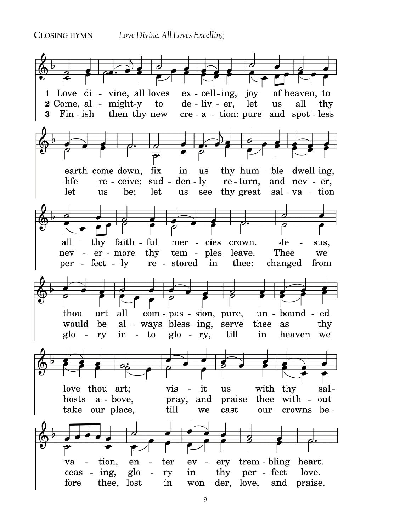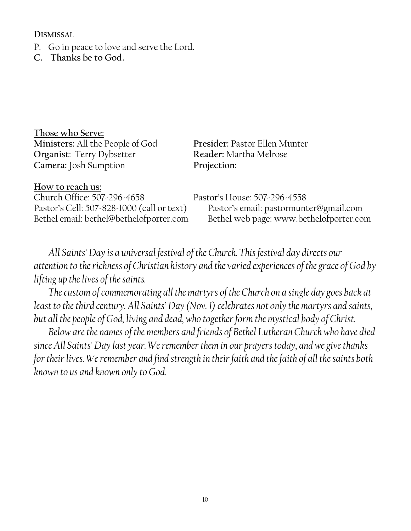**DISMISSAL** 

- P. Go in peace to love and serve the Lord.
- **C. Thanks be to God.**

**Those who Serve: Ministers:** All the People of God **Presider:** Pastor Ellen Munter **Organist**: Terry Dybsetter **Reader:** Martha Melrose **Camera:** Josh Sumption **Projection:**

**How to reach us:** Church Office: 507-296-4658 Pastor's House: 507-296-4558

Pastor's Cell: 507-828-1000 (call or text) Pastor's email: pastormunter@gmail.com Bethel email: bethel@bethelofporter.com Bethel web page: www.bethelofporter.com

*All Saints' Day is a universal festival of the Church. This festival day directs our attention to the richness of Christian history and the varied experiences of the grace of God by lifting up the lives of the saints.*

*The custom of commemorating all the martyrs of the Church on a single day goes back at least to the third century. All Saints' Day (Nov. 1) celebrates not only the martyrs and saints, but all the people of God, living and dead, who together form the mystical body of Christ.*

*Below are the names of the members and friends of Bethel Lutheran Church who have died since All Saints' Day last year. We remember them in our prayers today, and we give thanks for their lives. We remember and find strength in their faith and the faith of all the saints both known to us and known only to God.*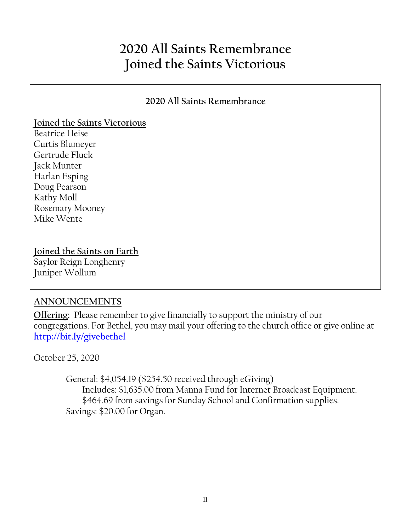# **2020 All Saints Remembrance Joined the Saints Victorious**

#### **2020 All Saints Remembrance**

#### **Joined the Saints Victorious**

Beatrice Heise Curtis Blumeyer Gertrude Fluck Jack Munter Harlan Esping Doug Pearson Kathy Moll Rosemary Mooney Mike Wente

#### **Joined the Saints on Earth**

Saylor Reign Longhenry Juniper Wollum

#### **ANNOUNCEMENTS**

**Offering:** Please remember to give financially to support the ministry of our congregations. For Bethel, you may mail your offering to the church office or give online at **<http://bit.ly/givebethel>**

October 25, 2020

 General: \$4,054.19 (\$254.50 received through eGiving) Includes: \$1,635.00 from Manna Fund for Internet Broadcast Equipment. \$464.69 from savings for Sunday School and Confirmation supplies. Savings: \$20.00 for Organ.